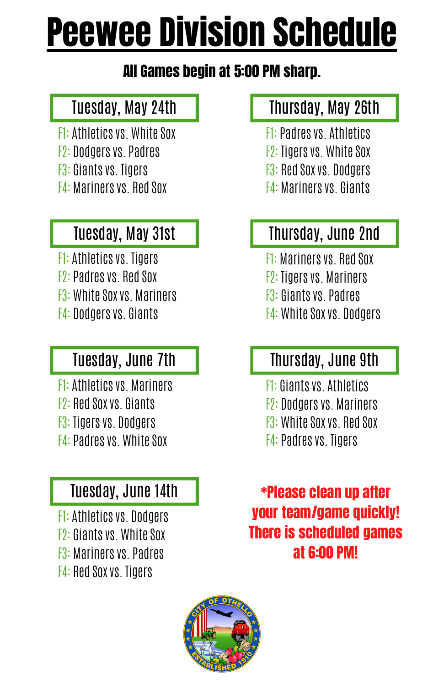# Peewee Division Schedule

#### All Games begin at 5:00 PM sharp.

#### Tuesday, May 24th

- $F1:$  Athletics vs. White Sox
- F2: Dodgersvs. Padres
- F3: Giants vs. Tigers
- **F4: Mariners vs. Red Sox**

#### Tuesday, May 31st

F1: Athletics vs. Tigers F2: Padres vs. Red Sox F3: White Sox vs. Mariners F4: Dodgers vs. Giants

#### Tuesday, June 7th

F1: Athletics vs. Mariners F2: Red Sox vs. Giants F3: Tigers vs. Dodgers F4: Padres vs. White Sox

#### Tuesday, June 14th

F1: Athletics vs. Dodgers F2: Giants vs. White Sox F3: Mariners vs. Padres F4: Red Sox vs. Tigers

#### Thursday, May 26th

- **F1: Padres vs. Athletics**
- $F2:$  Tigers vs. White Sox
- F3: Red Soxvs. Dodgers
- **F4: Mariners vs. Giants**

#### Thursday, June 2nd

- **F1: Mariners vs. Red Sox**
- F2: Tigersvs. Mariners
- F3: Giantsvs. Padres
- F4: White Sox vs. Dodgers

#### Thursday, June 9th

- **F1: Giants vs. Athletics**
- F2: Dodgersvs. Mariners
- $F3:$  White Sox vs. Red Sox
- **F4: Padres vs. Tigers**

\*Please clean up after your team/game quickly! There is scheduled games at 6:00 PM!

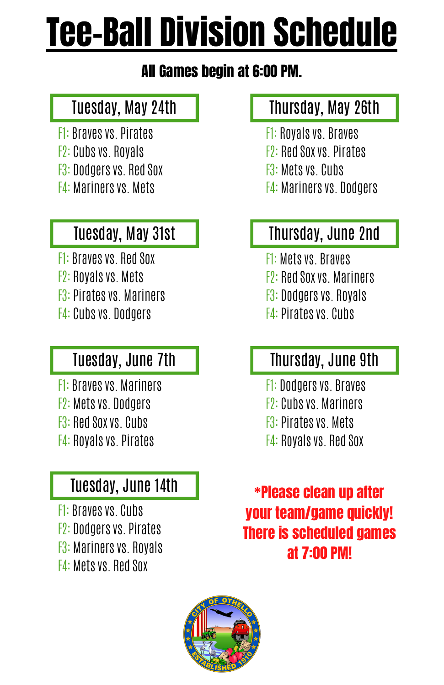# Tee-Ball Division Schedule

#### All Games begin at 6:00 PM.

#### Tuesday, May 24th

- **F1: Braves vs. Pirates.**
- F2: Cubsvs. Royals
- F3: Dodgersvs. Red Sox
- **F4: Mariners vs. Mets.**

#### Tuesday, May 31st

- F1: Braves vs. Red Sox F2: Royals vs. Mets
- F3: Pirates vs. Mariners
- F4: Cubs vs. Dodgers

#### Tuesday, June 7th

- F1: Braves vs. Mariners F2: Mets vs. Dodgers F3: Red Sox vs. Cubs
- F4: Royals vs. Pirates

#### Tuesday, June 14th

F1: Braves vs. Cubs F2: Dodgers vs. Pirates F3: Mariners vs. Royals F4: Mets vs. Red Sox

#### Thursday, May 26th

- **F1: Royals vs. Braves**
- F2: Red Soxvs. Pirates
- **F3: Mets vs. Cubs.**
- **F4: Mariners vs. Dodgers**

#### Thursday, June 2nd

- F1: Metsvs. Braves
- F2: Red Soxvs. Mariners
- **F3: Dodgers vs. Royals**
- **F4: Pirates vs. Cubs.**

#### Thursday, June 9th

- F1: Dodgers vs. Braves
- F2: Cubs vs. Mariners
- **F3: Pirates vs. Mets.**
- F4: Royals vs. Red Sox

\*Please clean up after your team/game quickly! There is scheduled games at 7:00 PM!

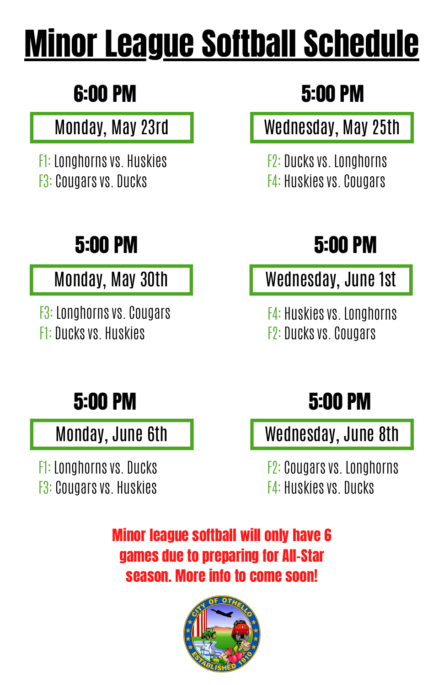# Minor League Softball Schedule

# 6:00 PM

#### Monday, May 23rd

F1: Longhornsvs. Huskies **F3: Cougars vs. Ducks** 

# 5:00 PM 5:00 PM

#### Monday, May 30th

F3: Longhorns vs. Cougars F1: Ducks vs. Huskies

# 5:00 PM

#### Wednesday, May 25th

**F2: Ducks vs. Longhorns F4: Huskies vs. Cougars** 

Wednesday, June 1st

F4: Huskiesvs. Longhorns F2: Ducksvs. Cougars

Monday, June 6th

F1: Longhorns vs. Ducks F3: Cougars vs. Huskies

### 5:00 PM 5:00 PM

Wednesday, June 8th

F2: Cougars vs. Longhorns F4: Huskies vs. Ducks

Minor league softball will only have 6 games due to preparing for All-Star season. More info to come soon!

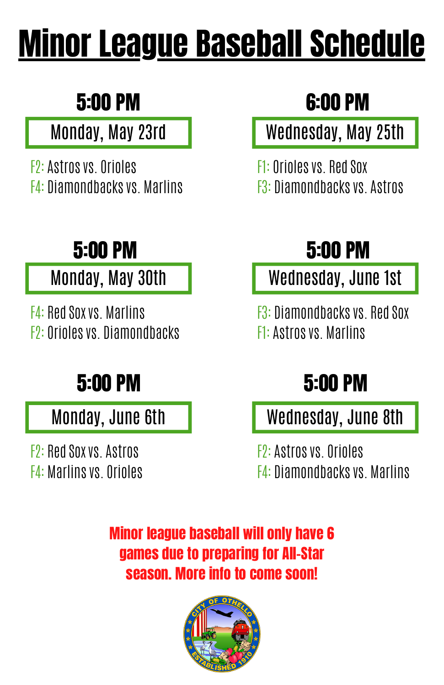# Minor League Baseball Schedule

# 5:00 PM

#### Monday, May 23rd

**F2: Astros vs. Orioles** F4: Diamondbacksvs. Marlins

# 5:00 PM

#### Monday, May 30th

F4: Red Soxvs. Marlins F2: Oriolesvs. Diamondbacks

# 5:00 PM

Monday, June 6th

F2: Red Soxvs. Astros F4: Marlinsvs. Orioles

# 6:00 PM

Wednesday, May 25th

F1: Oriolesvs. Red Sox F3: Diamondbacksvs. Astros

# 5:00 PM

Wednesday, June 1st

F3: Diamondbacksvs. Red Sox **F1: Astros vs. Marlins** 

## 5:00 PM

Wednesday, June 8th

**F**2: Astros vs. Orioles F4: Diamondbacksvs. Marlins

Minor league baseball will only have 6 games due to preparing for All-Star season. More info to come soon!

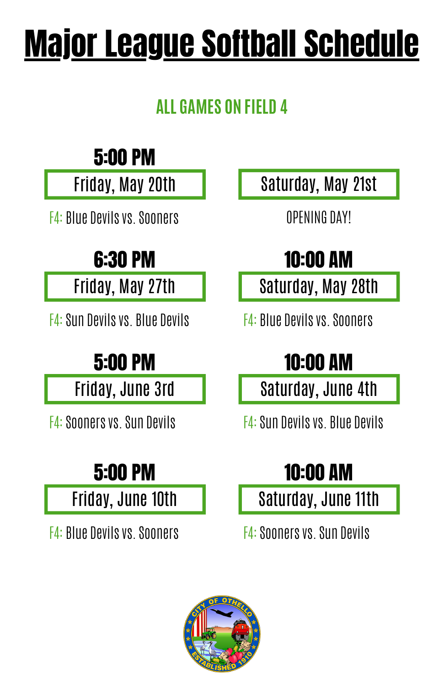# Major League Softball Schedule

#### **ALL GAMES ON FIELD 4**

## 5:00 PM

Friday, May 20th

F4: Blue Devilsvs.Sooners

# 6:30 PM

Friday, May 27th

F4:Sun Devilsvs. Blue Devils

# 5:00 PM

Friday, June 3rd

F4:Soonersvs.Sun Devils

# 5:00 PM

Friday, June 10th

F4: Blue Devilsvs.Sooners

Saturday, May 21st

OPENING DAY!

# 10:00 AM

Saturday, May 28th

F4: Blue Devilsvs.Sooners

# 10:00 AM

Saturday, June 4th

**F4: Sun Devils vs. Blue Devils.** 

# 10:00 AM

Saturday, June 11th

F4:Soonersvs.Sun Devils